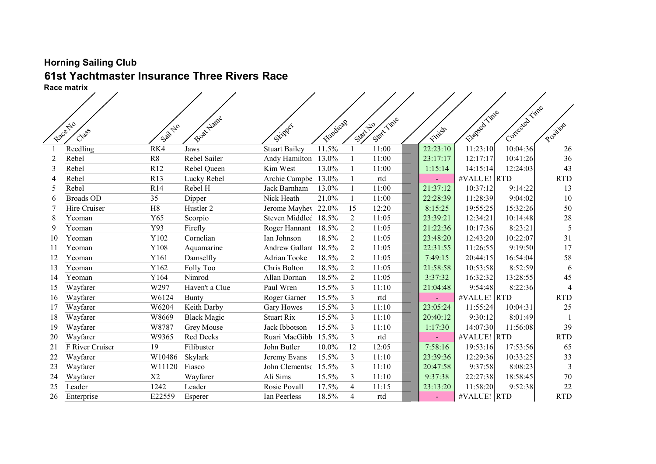## Horning Sailing Club 61st Yachtmaster Insurance Three Rivers Race

|    | <b>Race matrix</b> |               |                    |                      |           |                     |            |          |              |                |                          |
|----|--------------------|---------------|--------------------|----------------------|-----------|---------------------|------------|----------|--------------|----------------|--------------------------|
|    |                    |               |                    |                      |           |                     |            |          |              |                |                          |
|    |                    |               |                    |                      |           |                     |            |          |              | Contected Time |                          |
|    |                    |               | Boat Name          |                      |           |                     | Statt Time |          | Elapsed Time |                |                          |
|    | Raccitio<br>Class  | Sail No       |                    | Skipper              | Flandicap | Statt <sup>20</sup> |            | Finish   |              |                | Position                 |
|    |                    |               |                    |                      |           |                     |            |          |              |                |                          |
|    | Reedling           | RK4           | Jaws               | <b>Stuart Bailey</b> | 11.5%     |                     | 11:00      | 22:23:10 | 11:23:10     | 10:04:36       | 26                       |
|    | Rebel              | R8            | Rebel Sailer       | Andy Hamilton        | 13.0%     |                     | 11:00      | 23:17:17 | 12:17:17     | 10:41:26       | 36                       |
| 3  | Rebel              | R12           | Rebel Queen        | Kim West             | 13.0%     |                     | 11:00      | 1:15:14  | 14:15:14     | 12:24:03       | 43                       |
|    | Rebel              | R13           | Lucky Rebel        | Archie Campbe        | 13.0%     |                     | rtd        |          | #VALUE! RTD  |                | <b>RTD</b>               |
| 5  | Rebel              | R14           | Rebel H            | Jack Barnham         | 13.0%     |                     | 11:00      | 21:37:12 | 10:37:12     | 9:14:22        | 13                       |
| 6  | <b>Broads OD</b>   | 35            | Dipper             | Nick Heath           | 21.0%     |                     | 11:00      | 22:28:39 | 11:28:39     | 9:04:02        | 10                       |
|    | Hire Cruiser       | H8            | Hustler 2          | Jerome Mayhev 22.0%  |           | 15                  | 12:20      | 8:15:25  | 19:55:25     | 15:32:26       | 50                       |
| 8  | Yeoman             | Y65           | Scorpio            | Steven Middled 18.5% |           | $\overline{2}$      | 11:05      | 23:39:21 | 12:34:21     | 10:14:48       | $28\,$                   |
| 9  | Yeoman             | Y93           | Firefly            | Roger Hannant        | 18.5%     | $\overline{2}$      | 11:05      | 21:22:36 | 10:17:36     | 8:23:21        | 5                        |
| 10 | Yeoman             | Y102          | Cornelian          | Ian Johnson          | 18.5%     | $\overline{2}$      | 11:05      | 23:48:20 | 12:43:20     | 10:22:07       | 31                       |
| 11 | Yeoman             | Y108          | Aquamarine         | Andrew Gallant       | 18.5%     | $\overline{2}$      | 11:05      | 22:31:55 | 11:26:55     | 9:19:50        | 17                       |
| 12 | Yeoman             | Y161          | Damselfly          | Adrian Tooke         | 18.5%     | $\overline{2}$      | 11:05      | 7:49:15  | 20:44:15     | 16:54:04       | 58                       |
| 13 | Yeoman             | Y162          | Folly Too          | Chris Bolton         | 18.5%     | $\overline{2}$      | 11:05      | 21:58:58 | 10:53:58     | 8:52:59        | 6                        |
| 14 | Yeoman             | Y164          | Nimrod             | Allan Dornan         | 18.5%     | $\overline{2}$      | 11:05      | 3:37:32  | 16:32:32     | 13:28:55       | 45                       |
| 15 | Wayfarer           | W297          | Haven't a Clue     | Paul Wren            | 15.5%     | 3                   | 11:10      | 21:04:48 | 9:54:48      | 8:22:36        | $\overline{\mathcal{A}}$ |
| 16 | Wayfarer           | W6124         | <b>Bunty</b>       | Roger Garner         | 15.5%     | 3                   | rtd        |          | #VALUE! RTD  |                | <b>RTD</b>               |
| 17 | Wayfarer           | W6204         | Keith Darby        | <b>Gary Howes</b>    | 15.5%     | $\overline{3}$      | 11:10      | 23:05:24 | 11:55:24     | 10:04:31       | 25                       |
| 18 | Wayfarer           | W8669         | <b>Black Magic</b> | <b>Stuart Rix</b>    | 15.5%     | $\overline{3}$      | 11:10      | 20:40:12 | 9:30:12      | 8:01:49        |                          |
| 19 | Wayfarer           | W8787         | Grey Mouse         | Jack Ibbotson        | 15.5%     | 3                   | 11:10      | 1:17:30  | 14:07:30     | 11:56:08       | 39                       |
| 20 | Wayfarer           | W9365         | Red Decks          | Ruari MacGibb        | 15.5%     | $\overline{3}$      | rtd        |          | #VALUE! RTD  |                | <b>RTD</b>               |
| 21 | F River Cruiser    | 19            | Filibuster         | John Butler          | 10.0%     | 12                  | 12:05      | 7:58:16  | 19:53:16     | 17:53:56       | 65                       |
| 22 | Wayfarer           | W10486        | Skylark            | Jeremy Evans         | 15.5%     | 3                   | 11:10      | 23:39:36 | 12:29:36     | 10:33:25       | 33                       |
| 23 | Wayfarer           | W11120 Fiasco |                    | John Clementsc       | 15.5%     | $\overline{3}$      | 11:10      | 20:47:58 | 9:37:58      | 8:08:23        | $\overline{3}$           |
| 24 | Wayfarer           | X2            | Wayfarer           | Ali Sims             | 15.5%     | 3                   | 11:10      | 9:37:38  | 22:27:38     | 18:58:45       | 70                       |
| 25 | Leader             | 1242          | Leader             | Rosie Povall         | 17.5%     | $\overline{4}$      | 11:15      | 23:13:20 | 11:58:20     | 9:52:38        | 22                       |
| 26 | Enterprise         | E22559        | Esperer            | Ian Peerless         | 18.5%     | $\overline{4}$      | rtd        |          | #VALUE! RTD  |                | <b>RTD</b>               |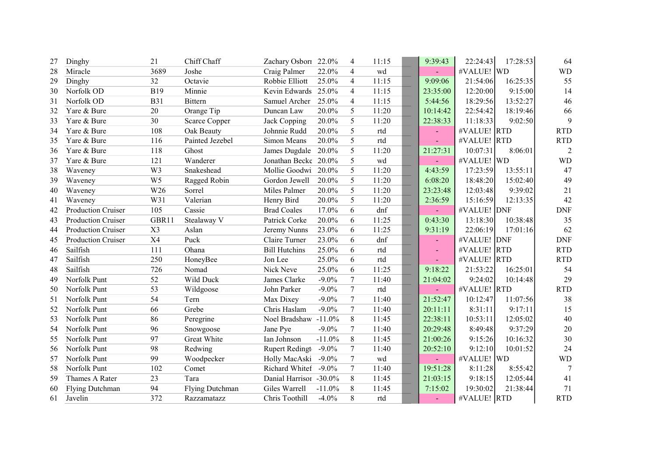| 27 | Dinghy                    | 21             | Chiff Chaff          | Zachary Osborr 22.0%   |          | $\overline{4}$ | 11:15 | 9:39:43  | 22:24:43    | 17:28:53 | 64             |
|----|---------------------------|----------------|----------------------|------------------------|----------|----------------|-------|----------|-------------|----------|----------------|
| 28 | Miracle                   | 3689           | Joshe                | Craig Palmer           | 22.0%    | $\overline{4}$ | wd    |          | #VALUE! WD  |          | <b>WD</b>      |
| 29 | Dinghy                    | 32             | Octavie              | Robbie Elliott         | 25.0%    | $\overline{4}$ | 11:15 | 9:09:06  | 21:54:06    | 16:25:35 | 55             |
| 30 | Norfolk OD                | <b>B19</b>     | Minnie               | Kevin Edwards 25.0%    |          | $\overline{4}$ | 11:15 | 23:35:00 | 12:20:00    | 9:15:00  | 14             |
| 31 | Norfolk OD                | <b>B31</b>     | Bittern              | Samuel Archer          | 25.0%    | $\overline{4}$ | 11:15 | 5:44:56  | 18:29:56    | 13:52:27 | 46             |
| 32 | Yare & Bure               | 20             | Orange Tip           | Duncan Law             | 20.0%    | 5              | 11:20 | 10:14:42 | 22:54:42    | 18:19:46 | 66             |
| 33 | Yare & Bure               | 30             | <b>Scarce Copper</b> | Jack Copping           | 20.0%    | 5              | 11:20 | 22:38:33 | 11:18:33    | 9:02:50  | 9              |
| 34 | Yare & Bure               | 108            | Oak Beauty           | Johnnie Rudd           | 20.0%    | 5              | rtd   |          | #VALUE! RTD |          | <b>RTD</b>     |
| 35 | Yare & Bure               | 116            | Painted Jezebel      | Simon Means            | 20.0%    | 5              | rtd   |          | #VALUE! RTD |          | <b>RTD</b>     |
| 36 | Yare & Bure               | 118            | Ghost                | James Dugdale          | 20.0%    | 5              | 11:20 | 21:27:31 | 10:07:31    | 8:06:01  | $\overline{2}$ |
| 37 | Yare & Bure               | 121            | Wanderer             | Jonathan Becke 20.0%   |          | 5              | wd    |          | #VALUE! WD  |          | <b>WD</b>      |
| 38 | Waveney                   | W <sub>3</sub> | Snakeshead           | Mollie Goodwi          | 20.0%    | 5              | 11:20 | 4:43:59  | 17:23:59    | 13:55:11 | 47             |
| 39 | Waveney                   | W <sub>5</sub> | Ragged Robin         | Gordon Jewell          | 20.0%    | 5              | 11:20 | 6:08:20  | 18:48:20    | 15:02:40 | 49             |
| 40 | Waveney                   | W26            | Sorrel               | Miles Palmer           | 20.0%    | 5              | 11:20 | 23:23:48 | 12:03:48    | 9:39:02  | 21             |
| 41 | Waveney                   | W31            | Valerian             | Henry Bird             | 20.0%    | 5              | 11:20 | 2:36:59  | 15:16:59    | 12:13:35 | 42             |
| 42 | <b>Production Cruiser</b> | 105            | Cassie               | <b>Brad Coales</b>     | 17.0%    | 6              | dnf   |          | #VALUE! DNF |          | <b>DNF</b>     |
| 43 | <b>Production Cruiser</b> | GBR11          | Stealaway V          | Patrick Corke          | 20.0%    | 6              | 11:25 | 0:43:30  | 13:18:30    | 10:38:48 | 35             |
| 44 | <b>Production Cruiser</b> | X3             | Aslan                | Jeremy Nunns           | 23.0%    | 6              | 11:25 | 9:31:19  | 22:06:19    | 17:01:16 | 62             |
| 45 | <b>Production Cruiser</b> | <b>X4</b>      | Puck                 | Claire Turner          | 23.0%    | 6              | dnf   |          | #VALUE! DNF |          | <b>DNF</b>     |
| 46 | Sailfish                  | 111            | Ohana                | <b>Bill Hutchins</b>   | 25.0%    | 6              | rtd   |          | #VALUE! RTD |          | <b>RTD</b>     |
| 47 | Sailfish                  | 250            | HoneyBee             | Jon Lee                | 25.0%    | 6              | rtd   |          | #VALUE! RTD |          | <b>RTD</b>     |
| 48 | Sailfish                  | 726            | Nomad                | Nick Neve              | 25.0%    | 6              | 11:25 | 9:18:22  | 21:53:22    | 16:25:01 | 54             |
| 49 | Norfolk Punt              | 52             | Wild Duck            | James Clarke           | $-9.0\%$ | $\overline{7}$ | 11:40 | 21:04:02 | 9:24:02     | 10:14:48 | 29             |
| 50 | Norfolk Punt              | 53             | Wildgoose            | John Parker            | $-9.0\%$ | $\tau$         | rtd   |          | #VALUE! RTD |          | <b>RTD</b>     |
| 51 | Norfolk Punt              | 54             | Tern                 | Max Dixey              | $-9.0\%$ | $\tau$         | 11:40 | 21:52:47 | 10:12:47    | 11:07:56 | 38             |
| 52 | Norfolk Punt              | 66             | Grebe                | Chris Haslam           | $-9.0\%$ | $\tau$         | 11:40 | 20:11:11 | 8:31:11     | 9:17:11  | 15             |
| 53 | Norfolk Punt              | 86             | Peregrine            | Noel Bradshaw          | $-11.0%$ | 8              | 11:45 | 22:38:11 | 10:53:11    | 12:05:02 | 40             |
| 54 | Norfolk Punt              | 96             | Snowgoose            | Jane Pye               | $-9.0\%$ | 7              | 11:40 | 20:29:48 | 8:49:48     | 9:37:29  | 20             |
| 55 | Norfolk Punt              | 97             | Great White          | Ian Johnson            | $-11.0%$ | 8              | 11:45 | 21:00:26 | 9:15:26     | 10:16:32 | 30             |
| 56 | Norfolk Punt              | 98             | Redwing              | Rupert Redingt         | $-9.0\%$ | $\overline{7}$ | 11:40 | 20:52:10 | 9:12:10     | 10:01:52 | 24             |
| 57 | Norfolk Punt              | 99             | Woodpecker           | Holly MacAski          | $-9.0\%$ | $\overline{7}$ | wd    |          | #VALUE! WD  |          | <b>WD</b>      |
| 58 | Norfolk Punt              | 102            | Comet                | Richard Whitef         | $-9.0\%$ | $\tau$         | 11:40 | 19:51:28 | 8:11:28     | 8:55:42  | 7              |
| 59 | Thames A Rater            | 23             | Tara                 | Danial Harrisor -30.0% |          | 8              | 11:45 | 21:03:15 | 9:18:15     | 12:05:44 | 41             |
| 60 | Flying Dutchman           | 94             | Flying Dutchman      | Giles Warrell          | $-11.0%$ | 8              | 11:45 | 7:15:02  | 19:30:02    | 21:38:44 | 71             |
| 61 | Javelin                   | 372            | Razzamatazz          | Chris Toothill         | $-4.0%$  | 8              | rtd   |          | #VALUE! RTD |          | <b>RTD</b>     |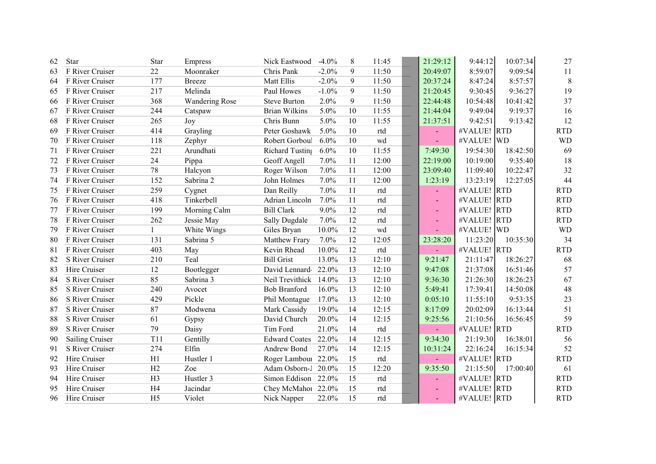| 62 | Star            | Star           | Empress               | Nick Eastwood        | $-4.0%$ | 8  | 11:45      | 21:29:12 | 9:44:12     | 10:07:34 | 27         |
|----|-----------------|----------------|-----------------------|----------------------|---------|----|------------|----------|-------------|----------|------------|
| 63 | F River Cruiser | 22             | Moonraker             | Chris Pank           | $-2.0%$ | 9  | 11:50      | 20:49:07 | 8:59:07     | 9:09:54  | 11         |
| 64 | F River Cruiser | 177            | <b>Breeze</b>         | Matt Ellis           | $-2.0%$ | 9  | 11:50      | 20:37:24 | 8:47:24     | 8:57:57  | 8          |
| 65 | F River Cruiser | 217            | Melinda               | Paul Howes           | $-1.0%$ | 9  | 11:50      | 21:20:45 | 9:30:45     | 9:36:27  | 19         |
| 66 | F River Cruiser | 368            | <b>Wandering Rose</b> | <b>Steve Burton</b>  | 2.0%    | 9  | 11:50      | 22:44:48 | 10:54:48    | 10:41:42 | 37         |
| 67 | F River Cruiser | 244            | Catspaw               | <b>Brian Wilkins</b> | 5.0%    | 10 | 11:55      | 21:44:04 | 9:49:04     | 9:19:37  | 16         |
| 68 | F River Cruiser | 265            | Joy                   | Chris Bunn           | 5.0%    | 10 | 11:55      | 21:37:51 | 9:42:51     | 9:13:42  | 12         |
| 69 | F River Cruiser | 414            | Grayling              | Peter Goshawk        | 5.0%    | 10 | rtd        |          | #VALUE! RTD |          | <b>RTD</b> |
| 70 | F River Cruiser | 118            | Zephyr                | Robert Gorboul       | 6.0%    | 10 | wd         |          | #VALUE! WD  |          | <b>WD</b>  |
| 71 | F River Cruiser | 221            | Arundhati             | Richard Tusting      | 6.0%    | 10 | 11:55      | 7:49:30  | 19:54:30    | 18:42:50 | 69         |
| 72 | F River Cruiser | 24             | Pippa                 | Geoff Angell         | 7.0%    | 11 | 12:00      | 22:19:00 | 10:19:00    | 9:35:40  | 18         |
| 73 | F River Cruiser | 78             | Halcyon               | Roger Wilson         | 7.0%    | 11 | 12:00      | 23:09:40 | 11:09:40    | 10:22:47 | 32         |
| 74 | F River Cruiser | 152            | Sabrina 2             | John Holmes          | 7.0%    | 11 | 12:00      | 1:23:19  | 13:23:19    | 12:27:05 | 44         |
| 75 | F River Cruiser | 259            | Cygnet                | Dan Reilly           | 7.0%    | 11 | rtd        |          | #VALUE! RTD |          | <b>RTD</b> |
| 76 | F River Cruiser | 418            | Tinkerbell            | Adrian Lincoln       | 7.0%    | 11 | rtd        |          | #VALUE! RTD |          | <b>RTD</b> |
| 77 | F River Cruiser | 199            | Morning Calm          | <b>Bill Clark</b>    | 9.0%    | 12 | rtd        |          | #VALUE! RTD |          | <b>RTD</b> |
| 78 | F River Cruiser | 262            | Jessie May            | Sally Dugdale        | 7.0%    | 12 | rtd        |          | #VALUE! RTD |          | <b>RTD</b> |
| 79 | F River Cruiser | $\mathbf{1}$   | White Wings           | Giles Bryan          | 10.0%   | 12 | wd         |          | #VALUE! WD  |          | <b>WD</b>  |
| 80 | F River Cruiser | 131            | Sabrina 5             | Matthew Frary        | 7.0%    | 12 | 12:05      | 23:28:20 | 11:23:20    | 10:35:30 | 34         |
| 81 | F River Cruiser | 403            | May                   | Kevin Rhead          | 10.0%   | 12 | rtd        |          | #VALUE! RTD |          | <b>RTD</b> |
| 82 | S River Cruiser | 210            | Teal                  | <b>Bill Grist</b>    | 13.0%   | 13 | 12:10      | 9:21:47  | 21:11:47    | 18:26:27 | 68         |
| 83 | Hire Cruiser    | 12             | Bootlegger            | David Lennard-       | 22.0%   | 13 | 12:10      | 9:47:08  | 21:37:08    | 16:51:46 | 57         |
| 84 | S River Cruiser | 85             | Sabrina 3             | Neil Trevithick      | 14.0%   | 13 | 12:10      | 9:36:30  | 21:26:30    | 18:26:23 | 67         |
| 85 | S River Cruiser | 240            | Avocet                | <b>Bob Branford</b>  | 16.0%   | 13 | 12:10      | 5:49:41  | 17:39:41    | 14:50:08 | 48         |
| 86 | S River Cruiser | 429            | Pickle                | Phil Montague        | 17.0%   | 13 | 12:10      | 0:05:10  | 11:55:10    | 9:53:35  | 23         |
| 87 | S River Cruiser | 87             | Modwena               | Mark Cassidy         | 19.0%   | 14 | 12:15      | 8:17:09  | 20:02:09    | 16:13:44 | 51         |
| 88 | S River Cruiser | 61             | Gypsy                 | David Church         | 20.0%   | 14 | 12:15      | 9:25:56  | 21:10:56    | 16:56:45 | 59         |
| 89 | S River Cruiser | 79             | Daisy                 | Tim Ford             | 21.0%   | 14 | $\rm{rtd}$ |          | #VALUE! RTD |          | <b>RTD</b> |
| 90 | Sailing Cruiser | T11            | Gentilly              | <b>Edward Coates</b> | 22.0%   | 14 | 12:15      | 9:34:30  | 21:19:30    | 16:38:01 | 56         |
| 91 | S River Cruiser | 274            | Elfin                 | Andrew Bond          | 27.0%   | 14 | 12:15      | 10:31:24 | 22:16:24    | 16:15:34 | 52         |
| 92 | Hire Cruiser    | H1             | Hustler 1             | Roger Lambour 22.0%  |         | 15 | rtd        |          | #VALUE! RTD |          | <b>RTD</b> |
| 93 | Hire Cruiser    | H2             | Zoe                   | Adam Osborn-J 20.0%  |         | 15 | 12:20      | 9:35:50  | 21:15:50    | 17:00:40 | 61         |
| 94 | Hire Cruiser    | H <sub>3</sub> | Hustler 3             | Simon Eddison        | 22.0%   | 15 | rtd        |          | #VALUE! RTD |          | <b>RTD</b> |
| 95 | Hire Cruiser    | H <sub>4</sub> | Jacindar              | Chey McMahor 22.0%   |         | 15 | rtd        |          | #VALUE! RTD |          | <b>RTD</b> |
| 96 | Hire Cruiser    | H <sub>5</sub> | Violet                | Nick Napper          | 22.0%   | 15 | rtd        |          | #VALUE! RTD |          | <b>RTD</b> |